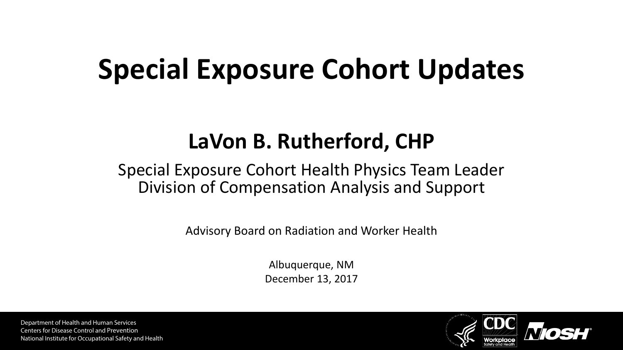# **Special Exposure Cohort Updates**

#### **LaVon B. Rutherford, CHP**

#### Special Exposure Cohort Health Physics Team Leader Division of Compensation Analysis and Support

Advisory Board on Radiation and Worker Health

Albuquerque, NM December 13, 2017

Department of Health and Human Services Centers for Disease Control and Prevention National Institute for Occupational Safety and Health

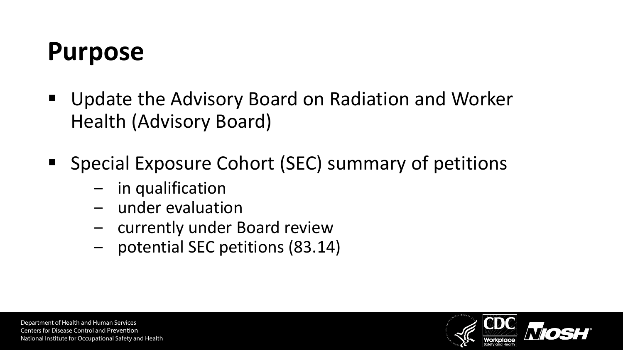#### **Purpose**

- Update the Advisory Board on Radiation and Worker Health (Advisory Board)
- **Special Exposure Cohort (SEC) summary of petitions** 
	- in qualification
	- ‒ under evaluation
	- ‒ currently under Board review
	- ‒ potential SEC petitions (83.14)

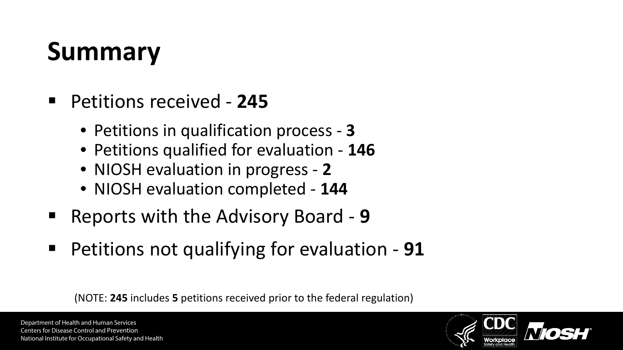# **Summary**

- Petitions received **245**
	- Petitions in qualification process **3**
	- Petitions qualified for evaluation **146**
	- NIOSH evaluation in progress **2**
	- NIOSH evaluation completed **144**
- Reports with the Advisory Board 9
- Petitions not qualifying for evaluation 91

(NOTE: **245** includes **5** petitions received prior to the federal regulation)

Department of Health and Human Services Centers for Disease Control and Prevention National Institute for Occupational Safety and Health

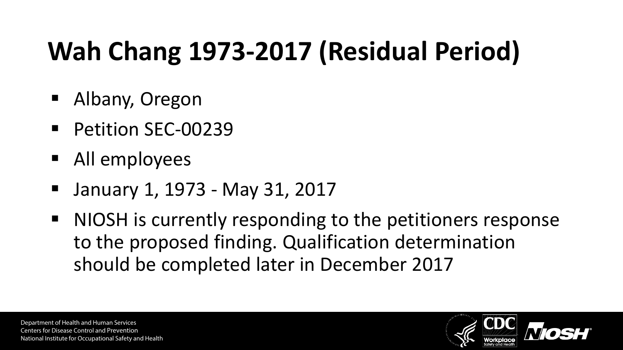# **Wah Chang 1973-2017 (Residual Period)**

- Albany, Oregon
- Petition SEC-00239
- All employees
- January 1, 1973 May 31, 2017
- NIOSH is currently responding to the petitioners response to the proposed finding. Qualification determination should be completed later in December 2017

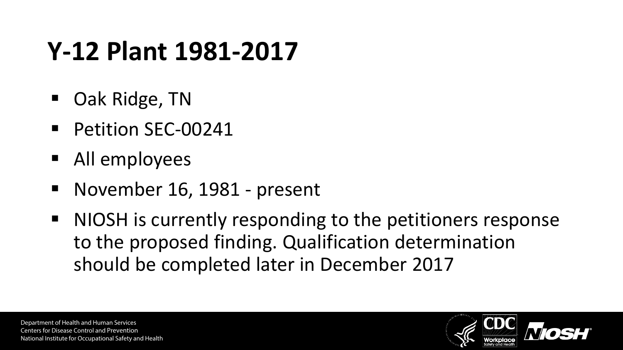# **Y-12 Plant 1981-2017**

- Oak Ridge, TN
- Petition SEC-00241
- All employees
- November 16, 1981 present
- NIOSH is currently responding to the petitioners response to the proposed finding. Qualification determination should be completed later in December 2017

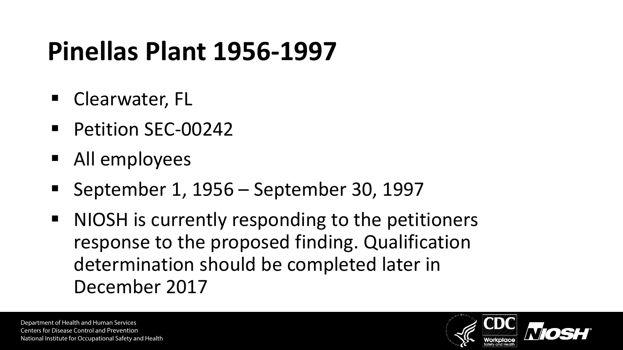## **Pinellas Plant 1956-1997**

- Clearwater, FL
- Petition SEC-00242
- All employees
- September 1, 1956 September 30, 1997
- NIOSH is currently responding to the petitioners response to the proposed finding. Qualification determination should be completed later in December 2017

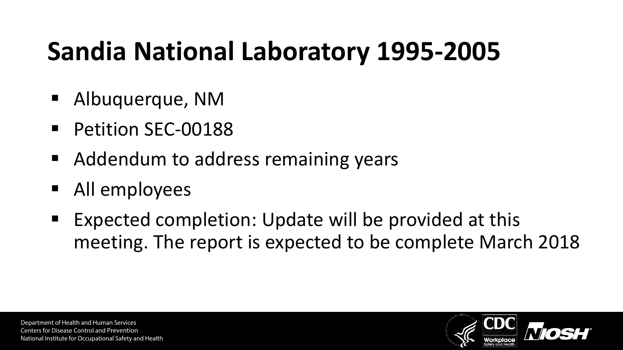# **Sandia National Laboratory 1995-2005**

- Albuquerque, NM
- Petition SEC-00188
- Addendum to address remaining years
- All employees
- Expected completion: Update will be provided at this meeting. The report is expected to be complete March 2018

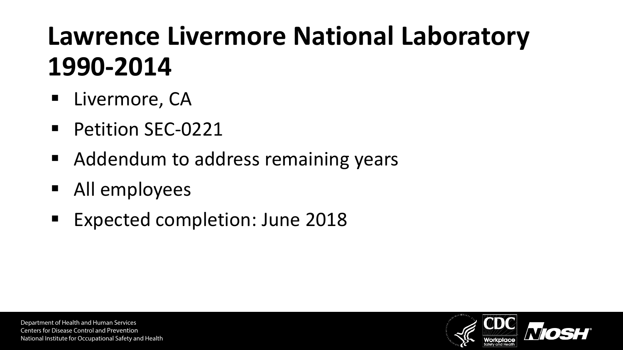# **Lawrence Livermore National Laboratory 1990-2014**

- **Livermore, CA**
- **Petition SEC-0221**
- Addendum to address remaining years
- All employees
- **Expected completion: June 2018**

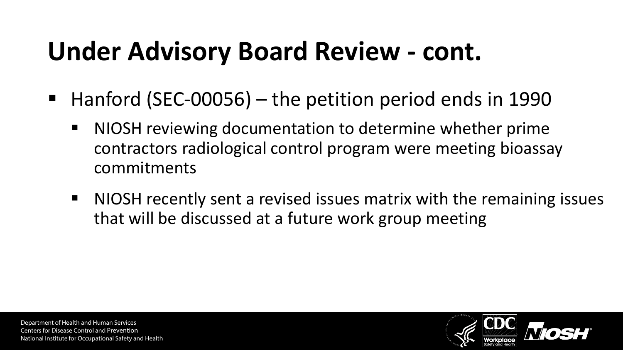# **Under Advisory Board Review - cont.**

- $\blacksquare$  Hanford (SEC-00056) the petition period ends in 1990
	- NIOSH reviewing documentation to determine whether prime contractors radiological control program were meeting bioassay commitments
	- NIOSH recently sent a revised issues matrix with the remaining issues that will be discussed at a future work group meeting

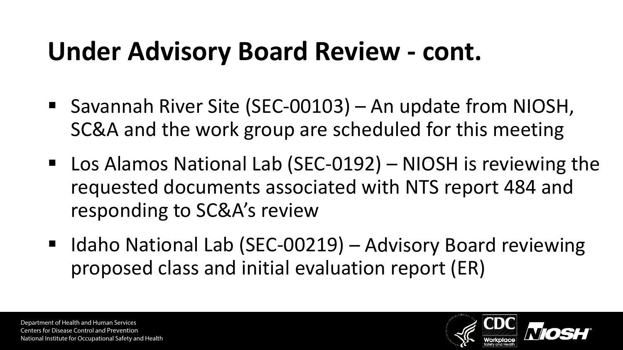### **Under Advisory Board Review - cont.**

- Savannah River Site (SEC-00103) An update from NIOSH, SC&A and the work group are scheduled for this meeting
- Los Alamos National Lab (SEC-0192) NIOSH is reviewing the requested documents associated with NTS report 484 and responding to SC&A's review
- Idaho National Lab (SEC-00219) Advisory Board reviewing proposed class and initial evaluation report (ER)

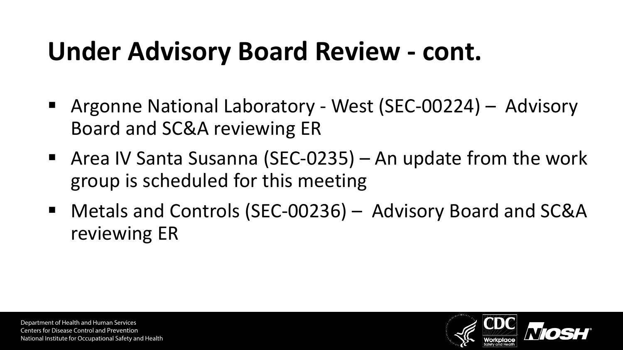#### **Under Advisory Board Review - cont.**

- Argonne National Laboratory West (SEC-00224) Advisory Board and SC&A reviewing ER
- Area IV Santa Susanna (SEC-0235) An update from the work group is scheduled for this meeting
- Metals and Controls (SEC-00236) Advisory Board and SC&A reviewing ER

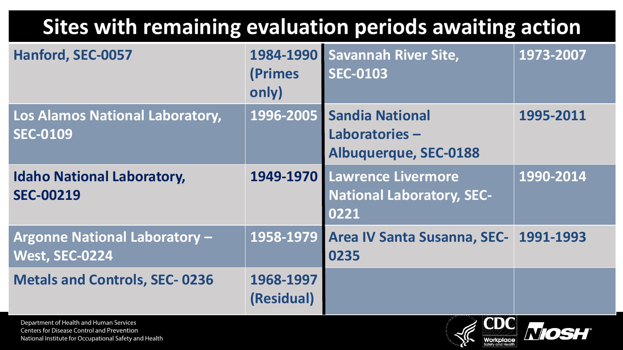#### **Sites with remaining evaluation periods awaiting action**

| Hanford, SEC-0057                                                                                                                                     | (Primes<br>only)        | 1984-1990 Savannah River Site,<br><b>SEC-0103</b>                        | 1973-2007 |
|-------------------------------------------------------------------------------------------------------------------------------------------------------|-------------------------|--------------------------------------------------------------------------|-----------|
| Los Alamos National Laboratory,<br><b>SEC-0109</b>                                                                                                    | 1996-2005               | <b>Sandia National</b><br>Laboratories-<br>Albuquerque, SEC-0188         | 1995-2011 |
| <b>Idaho National Laboratory,</b><br><b>SEC-00219</b>                                                                                                 |                         | 1949-1970 Lawrence Livermore<br><b>National Laboratory, SEC-</b><br>0221 | 1990-2014 |
| <b>Argonne National Laboratory -</b><br><b>West, SEC-0224</b>                                                                                         | 1958-1979               | <b>Area IV Santa Susanna, SEC-</b><br>0235                               | 1991-1993 |
| <b>Metals and Controls, SEC-0236</b>                                                                                                                  | 1968-1997<br>(Residual) |                                                                          |           |
| Department of Health and Human Services<br><b>Centers for Disease Control and Prevention</b><br>National Institute for Occupational Safety and Health |                         | <b>MDIO</b>                                                              |           |

Workplace

National Institute for Occupational Safety and Health